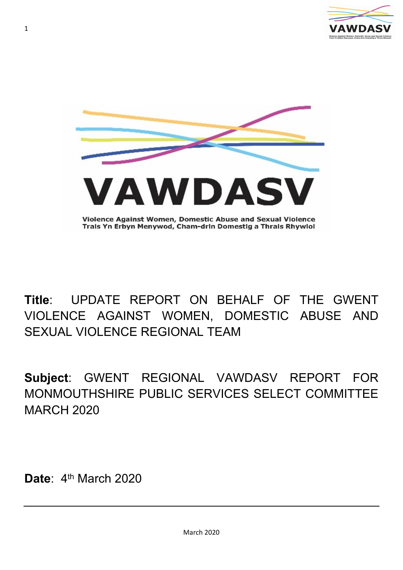



# **Title**: UPDATE REPORT ON BEHALF OF THE GWENT VIOLENCE AGAINST WOMEN, DOMESTIC ABUSE AND SEXUAL VIOLENCE REGIONAL TEAM

**Subject**: GWENT REGIONAL VAWDASV REPORT FOR MONMOUTHSHIRE PUBLIC SERVICES SELECT COMMITTEE MARCH 2020

Date: 4<sup>th</sup> March 2020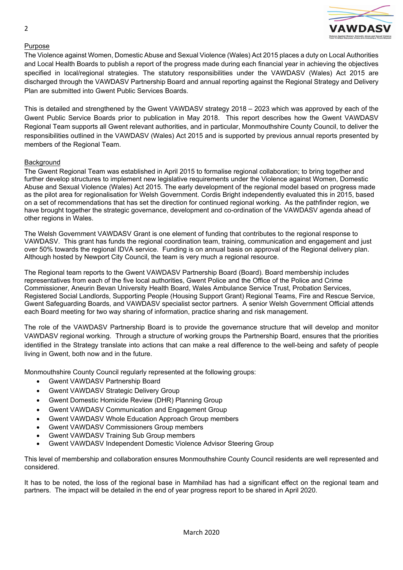

## Purpose

The Violence against Women, Domestic Abuse and Sexual Violence (Wales) Act 2015 places a duty on Local Authorities and Local Health Boards to publish a report of the progress made during each financial year in achieving the objectives specified in local/regional strategies. The statutory responsibilities under the VAWDASV (Wales) Act 2015 are discharged through the VAWDASV Partnership Board and annual reporting against the Regional Strategy and Delivery Plan are submitted into Gwent Public Services Boards.

This is detailed and strengthened by the Gwent VAWDASV strategy 2018 – 2023 which was approved by each of the Gwent Public Service Boards prior to publication in May 2018. This report describes how the Gwent VAWDASV Regional Team supports all Gwent relevant authorities, and in particular, Monmouthshire County Council, to deliver the responsibilities outlined in the VAWDASV (Wales) Act 2015 and is supported by previous annual reports presented by members of the Regional Team.

#### **Background**

The Gwent Regional Team was established in April 2015 to formalise regional collaboration; to bring together and further develop structures to implement new legislative requirements under the Violence against Women, Domestic Abuse and Sexual Violence (Wales) Act 2015. The early development of the regional model based on progress made as the pilot area for regionalisation for Welsh Government. Cordis Bright independently evaluated this in 2015, based on a set of recommendations that has set the direction for continued regional working. As the pathfinder region, we have brought together the strategic governance, development and co-ordination of the VAWDASV agenda ahead of other regions in Wales.

The Welsh Government VAWDASV Grant is one element of funding that contributes to the regional response to VAWDASV. This grant has funds the regional coordination team, training, communication and engagement and just over 50% towards the regional IDVA service. Funding is on annual basis on approval of the Regional delivery plan. Although hosted by Newport City Council, the team is very much a regional resource.

The Regional team reports to the Gwent VAWDASV Partnership Board (Board). Board membership includes representatives from each of the five local authorities, Gwent Police and the Office of the Police and Crime Commissioner, Aneurin Bevan University Health Board, Wales Ambulance Service Trust, Probation Services, Registered Social Landlords, Supporting People (Housing Support Grant) Regional Teams, Fire and Rescue Service, Gwent Safeguarding Boards, and VAWDASV specialist sector partners. A senior Welsh Government Official attends each Board meeting for two way sharing of information, practice sharing and risk management.

The role of the VAWDASV Partnership Board is to provide the governance structure that will develop and monitor VAWDASV regional working. Through a structure of working groups the Partnership Board, ensures that the priorities identified in the Strategy translate into actions that can make a real difference to the well-being and safety of people living in Gwent, both now and in the future.

Monmouthshire County Council regularly represented at the following groups:

- Gwent VAWDASV Partnership Board
- Gwent VAWDASV Strategic Delivery Group
- Gwent Domestic Homicide Review (DHR) Planning Group
- Gwent VAWDASV Communication and Engagement Group
- Gwent VAWDASV Whole Education Approach Group members
- Gwent VAWDASV Commissioners Group members
- Gwent VAWDASV Training Sub Group members
- Gwent VAWDASV Independent Domestic Violence Advisor Steering Group

This level of membership and collaboration ensures Monmouthshire County Council residents are well represented and considered.

It has to be noted, the loss of the regional base in Mamhilad has had a significant effect on the regional team and partners. The impact will be detailed in the end of year progress report to be shared in April 2020.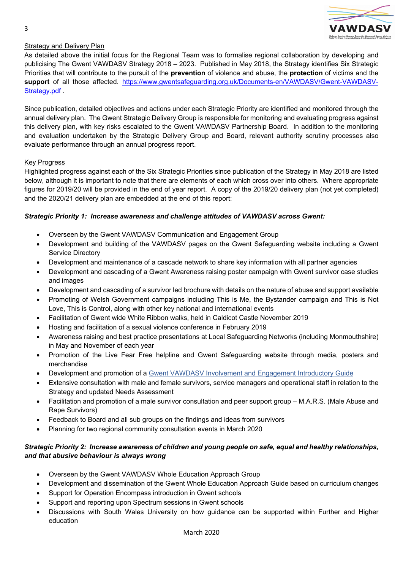

# Strategy and Delivery Plan

As detailed above the initial focus for the Regional Team was to formalise regional collaboration by developing and publicising The Gwent VAWDASV Strategy 2018 – 2023. Published in May 2018, the Strategy identifies Six Strategic Priorities that will contribute to the pursuit of the **prevention** of violence and abuse, the **protection** of victims and the **support** of all those affected. [https://www.gwentsafeguarding.org.uk/Documents-en/VAWDASV/Gwent-VAWDASV-](https://www.gwentsafeguarding.org.uk/Documents-en/VAWDASV/Gwent-VAWDASV-Strategy.pdf)[Strategy.pdf](https://www.gwentsafeguarding.org.uk/Documents-en/VAWDASV/Gwent-VAWDASV-Strategy.pdf) .

Since publication, detailed objectives and actions under each Strategic Priority are identified and monitored through the annual delivery plan. The Gwent Strategic Delivery Group is responsible for monitoring and evaluating progress against this delivery plan, with key risks escalated to the Gwent VAWDASV Partnership Board. In addition to the monitoring and evaluation undertaken by the Strategic Delivery Group and Board, relevant authority scrutiny processes also evaluate performance through an annual progress report.

## Key Progress

Highlighted progress against each of the Six Strategic Priorities since publication of the Strategy in May 2018 are listed below, although it is important to note that there are elements of each which cross over into others. Where appropriate figures for 2019/20 will be provided in the end of year report. A copy of the 2019/20 delivery plan (not yet completed) and the 2020/21 delivery plan are embedded at the end of this report:

#### *Strategic Priority 1: Increase awareness and challenge attitudes of VAWDASV across Gwent:*

- Overseen by the Gwent VAWDASV Communication and Engagement Group
- Development and building of the VAWDASV pages on the Gwent Safeguarding website including a Gwent Service Directory
- Development and maintenance of a cascade network to share key information with all partner agencies
- Development and cascading of a Gwent Awareness raising poster campaign with Gwent survivor case studies and images
- Development and cascading of a survivor led brochure with details on the nature of abuse and support available
- Promoting of Welsh Government campaigns including This is Me, the Bystander campaign and This is Not Love, This is Control, along with other key national and international events
- Facilitation of Gwent wide White Ribbon walks, held in Caldicot Castle November 2019
- Hosting and facilitation of a sexual violence conference in February 2019
- Awareness raising and best practice presentations at Local Safeguarding Networks (including Monmouthshire) in May and November of each year
- Promotion of the Live Fear Free helpline and Gwent Safeguarding website through media, posters and merchandise
- Development and promotion of a Gwent VAWDASV Involvement and [Engagement](https://www.gwentsafeguarding.org.uk/en/VAWDASV/Files/Gwent-VAWDASV-Involvement-and-Engagement-Introductory-Guide.pdf) Introductory Guide
- Extensive consultation with male and female survivors, service managers and operational staff in relation to the Strategy and updated Needs Assessment
- Facilitation and promotion of a male survivor consultation and peer support group M.A.R.S. (Male Abuse and Rape Survivors)
- Feedback to Board and all sub groups on the findings and ideas from survivors
- Planning for two regional community consultation events in March 2020

# *Strategic Priority 2: Increase awareness of children and young people on safe, equal and healthy relationships, and that abusive behaviour is always wrong*

- Overseen by the Gwent VAWDASV Whole Education Approach Group
- Development and dissemination of the Gwent Whole Education Approach Guide based on curriculum changes
- Support for Operation Encompass introduction in Gwent schools
- Support and reporting upon Spectrum sessions in Gwent schools
- Discussions with South Wales University on how guidance can be supported within Further and Higher education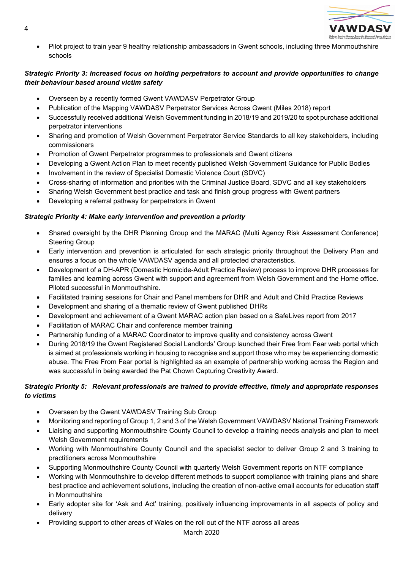

 Pilot project to train year 9 healthy relationship ambassadors in Gwent schools, including three Monmouthshire schools

# *Strategic Priority 3: Increased focus on holding perpetrators to account and provide opportunities to change their behaviour based around victim safety*

- Overseen by a recently formed Gwent VAWDASV Perpetrator Group
- Publication of the Mapping VAWDASV Perpetrator Services Across Gwent (Miles 2018) report
- Successfully received additional Welsh Government funding in 2018/19 and 2019/20 to spot purchase additional perpetrator interventions
- Sharing and promotion of Welsh Government Perpetrator Service Standards to all key stakeholders, including commissioners
- Promotion of Gwent Perpetrator programmes to professionals and Gwent citizens
- Developing a Gwent Action Plan to meet recently published Welsh Government Guidance for Public Bodies
- Involvement in the review of Specialist Domestic Violence Court (SDVC)
- Cross-sharing of information and priorities with the Criminal Justice Board, SDVC and all key stakeholders
- Sharing Welsh Government best practice and task and finish group progress with Gwent partners
- Developing a referral pathway for perpetrators in Gwent

# *Strategic Priority 4: Make early intervention and prevention a priority*

- Shared oversight by the DHR Planning Group and the MARAC (Multi Agency Risk Assessment Conference) Steering Group
- Early intervention and prevention is articulated for each strategic priority throughout the Delivery Plan and ensures a focus on the whole VAWDASV agenda and all protected characteristics.
- Development of a DH-APR (Domestic Homicide-Adult Practice Review) process to improve DHR processes for families and learning across Gwent with support and agreement from Welsh Government and the Home office. Piloted successful in Monmouthshire.
- Facilitated training sessions for Chair and Panel members for DHR and Adult and Child Practice Reviews
- Development and sharing of a thematic review of Gwent published DHRs
- Development and achievement of a Gwent MARAC action plan based on a SafeLives report from 2017
- Facilitation of MARAC Chair and conference member training
- Partnership funding of a MARAC Coordinator to improve quality and consistency across Gwent
- During 2018/19 the Gwent Registered Social Landlords' Group launched their Free from Fear web portal which is aimed at professionals working in housing to recognise and support those who may be experiencing domestic abuse. The Free From Fear portal is highlighted as an example of partnership working across the Region and was successful in being awarded the Pat Chown Capturing Creativity Award.

# *Strategic Priority 5: Relevant professionals are trained to provide effective, timely and appropriate responses to victims*

- Overseen by the Gwent VAWDASV Training Sub Group
- Monitoring and reporting of Group 1, 2 and 3 of the Welsh Government VAWDASV National Training Framework
- Liaising and supporting Monmouthshire County Council to develop a training needs analysis and plan to meet Welsh Government requirements
- Working with Monmouthshire County Council and the specialist sector to deliver Group 2 and 3 training to practitioners across Monmouthshire
- Supporting Monmouthshire County Council with quarterly Welsh Government reports on NTF compliance
- Working with Monmouthshire to develop different methods to support compliance with training plans and share best practice and achievement solutions, including the creation of non-active email accounts for education staff in Monmouthshire
- Early adopter site for 'Ask and Act' training, positively influencing improvements in all aspects of policy and delivery
- Providing support to other areas of Wales on the roll out of the NTF across all areas